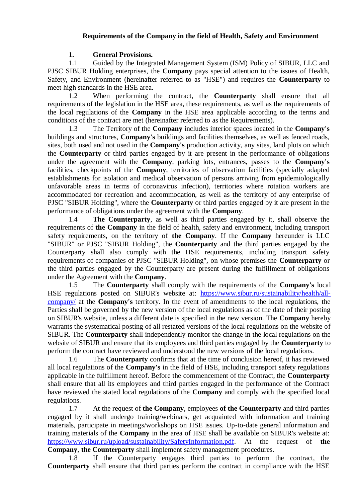# **Requirements of the Company in the field of Health, Safety and Environment**

## **1. General Provisions.**

1.1 Guided by the Integrated Management System (ISM) Policy of SIBUR, LLC and PJSC SIBUR Holding enterprises, the **Company** pays special attention to the issues of Health, Safety, and Environment (hereinafter referred to as "HSE") and requires the **Counterparty** to meet high standards in the HSE area.

1.2 When performing the contract, the **Counterparty** shall ensure that all requirements of the legislation in the HSE area, these requirements, as well as the requirements of the local regulations of the **Company** in the HSE area applicable according to the terms and conditions of the contract are met (hereinafter referred to as the Requirements).

1.3 The Territory of the **Company** includes interior spaces located in the **Company's**  buildings and structures, **Company's** buildings and facilities themselves, as well as fenced roads, sites, both used and not used in the **Company's** production activity, any sites, land plots on which the **Counterparty** or third parties engaged by it are present in the performance of obligations under the agreement with the **Company**, parking lots, entrances, passes to the **Company's**  facilities, checkpoints of the **Company**, territories of observation facilities (specially adapted establishments for isolation and medical observation of persons arriving from epidemiologically unfavorable areas in terms of coronavirus infection), territories where rotation workers are accommodated for recreation and accommodation, as well as the territory of any enterprise of PJSC "SIBUR Holding", where the **Counterparty** or third parties engaged by it are present in the performance of obligations under the agreement with the **Company**.

1.4 **The Counterparty**, as well as third parties engaged by it, shall observe the requirements of **the Company** in the field of health, safety and environment, including transport safety requirements, on the territory of **the Company**. If the **Company** hereunder is LLC "SIBUR" or PJSC "SIBUR Holding", the **Counterparty** and the third parties engaged by the Counterparty shall also comply with the HSE requirements, including transport safety requirements of companies of PJSC "SIBUR Holding", on whose premises the **Counterparty** or the third parties engaged by the Counterparty are present during the fulfillment of obligations under the Agreement with the **Company**.

1.5 The **Counterparty** shall comply with the requirements of the **Company's** local HSE regulations posted on SIBUR's website at: [https://www.sibur.ru/sustainability/health/all](https://www.sibur.ru/sustainability/health/all-company/)[company/](https://www.sibur.ru/sustainability/health/all-company/) at the **Company's** territory. In the event of amendments to the local regulations, the Parties shall be governed by the new version of the local regulations as of the date of their posting on SIBUR's website, unless a different date is specified in the new version. The **Company** hereby warrants the systematical posting of all restated versions of the local regulations on the website of SIBUR. The **Counterparty** shall independently monitor the change in the local regulations on the website of SIBUR and ensure that its employees and third parties engaged by the **Counterparty** to perform the contract have reviewed and understood the new versions of the local regulations.

1.6 The **Counterparty** confirms that at the time of conclusion hereof, it has reviewed all local regulations of the **Company's** in the field of HSE, including transport safety regulations applicable in the fulfillment hereof. Before the commencement of the Contract, the **Counterparty**  shall ensure that all its employees and third parties engaged in the performance of the Contract have reviewed the stated local regulations of the **Company** and comply with the specified local regulations.

1.7 At the request of **the Company**, employees **of the Counterparty** and third parties engaged by it shall undergo training/webinars, get acquainted with information and training materials, participate in meetings/workshops on HSE issues. Up-to-date general information and training materials of the **Company** in the area of HSE shall be available on SIBUR's website at: [https://www.sibur.ru/upload/sustainability/SafetyInformation.pdf.](https://www.sibur.ru/upload/sustainability/SafetyInformation.pdf) At the request of **the Company**, **the Counterparty** shall implement safety management procedures.

1.8 If the Counterparty engages third parties to perform the contract, the **Counterparty** shall ensure that third parties perform the contract in compliance with the HSE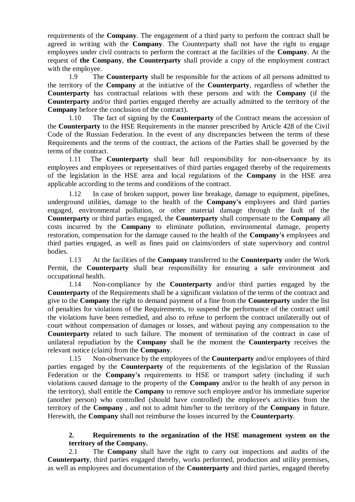<span id="page-1-0"></span>requirements of the **Company**. The engagement of a third party to perform the contract shall be agreed in writing with the **Company**. The Counterparty shall not have the right to engage employees under civil contracts to perform the contract at the facilities of the **Company**. At the request of **the Company**, **the Counterparty** shall provide a copy of the employment contract with the employee.

<span id="page-1-1"></span>1.9 The **Counterparty** shall be responsible for the actions of all persons admitted to the territory of the **Company** at the initiative of the **Counterparty**, regardless of whether the **Counterparty** has contractual relations with these persons and with the **Company** (if the **Counterparty** and/or third parties engaged thereby are actually admitted to the territory of the **Company** before the conclusion of the contract).

1.10 The fact of signing by the **Counterparty** of the Contract means the accession of the **Counterparty** to the HSE Requirements in the manner prescribed by Article 428 of the Civil Code of the Russian Federation. In the event of any discrepancies between the terms of these Requirements and the terms of the contract, the actions of the Parties shall be governed by the terms of the contract.

1.11 The **Counterparty** shall bear full responsibility for non-observance by its employees and employees or representatives of third parties engaged thereby of the requirements of the legislation in the HSE area and local regulations of the **Company** in the HSE area applicable according to the terms and conditions of the contract.

1.12 In case of broken support, power line breakage, damage to equipment, pipelines, underground utilities, damage to the health of the **Company's** employees and third parties engaged, environmental pollution, or other material damage through the fault of the **Counterparty** or third parties engaged, the **Counterparty** shall compensate to the **Company** all costs incurred by the **Company** to eliminate pollution, environmental damage, property restoration, compensation for the damage caused to the health of the **Company's** employees and third parties engaged, as well as fines paid on claims/orders of state supervisory and control bodies.

1.13 At the facilities of the **Company** transferred to the **Counterparty** under the Work Permit, the **Counterparty** shall bear responsibility for ensuring a safe environment and occupational health.

1.14 Non-compliance by the **Counterparty** and/or third parties engaged by the **Counterparty** of the Requirements shall be a significant violation of the terms of the contract and give to the **Company** the right to demand payment of a fine from the **Counterparty** under the list of penalties for violations of the Requirements, to suspend the performance of the contract until the violations have been remedied, and also to refuse to perform the contract unilaterally out of court without compensation of damages or losses, and without paying any compensation to the **Counterparty** related to such failure. The moment of termination of the contract in case of unilateral repudiation by the **Company** shall be the moment the **Counterparty** receives the relevant notice (claim) from the **Company**.

1.15 Non-observance by the employees of the **Counterparty** and/or employees of third parties engaged by the **Counterparty** of the requirements of the legislation of the Russian Federation or the **Company's** requirements to HSE or transport safety (including if such violations caused damage to the property of the **Company** and/or to the health of any person in the territory), shall entitle the **Company** to remove such employee and/or his immediate superior (another person) who controlled (should have controlled) the employee's activities from the territory of the **Company** , and not to admit him/her to the territory of the **Company** in future. Herewith, the **Company** shall not reimburse the losses incurred by the **Counterparty**.

# **2. Requirements to the organization of the HSE management system on the territory of the Company.**

2.1 The **Company** shall have the right to carry out inspections and audits of the **Counterparty**, third parties engaged thereby, works performed, production and utility premises, as well as employees and documentation of the **Counterparty** and third parties, engaged thereby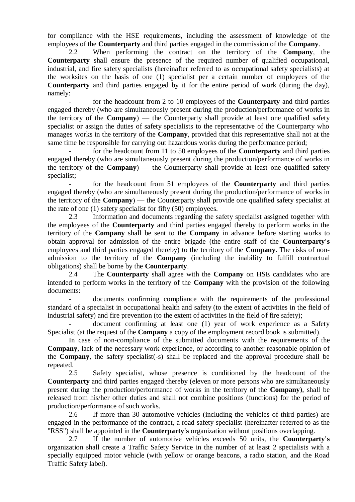for compliance with the HSE requirements, including the assessment of knowledge of the employees of the **Counterparty** and third parties engaged in the commission of the **Company**.

<span id="page-2-0"></span>2.2 When performing the contract on the territory of the **Company**, the **Counterparty** shall ensure the presence of the required number of qualified occupational, industrial, and fire safety specialists (hereinafter referred to as occupational safety specialists) at the worksites on the basis of one (1) specialist per a certain number of employees of the **Counterparty** and third parties engaged by it for the entire period of work (during the day), namely:

- for the headcount from 2 to 10 employees of the **Counterparty** and third parties engaged thereby (who are simultaneously present during the production/performance of works in the territory of the **Company**) — the Counterparty shall provide at least one qualified safety specialist or assign the duties of safety specialists to the representative of the Counterparty who manages works in the territory of the **Company**, provided that this representative shall not at the same time be responsible for carrying out hazardous works during the performance period;

- for the headcount from 11 to 50 employees of the **Counterparty** and third parties engaged thereby (who are simultaneously present during the production/performance of works in the territory of the **Company**) — the Counterparty shall provide at least one qualified safety specialist;

- for the headcount from 51 employees of the **Counterparty** and third parties engaged thereby (who are simultaneously present during the production/performance of works in the territory of the **Company**) — the Counterparty shall provide one qualified safety specialist at the rate of one (1) safety specialist for fifty (50) employees.

2.3 Information and documents regarding the safety specialist assigned together with the employees of the **Counterparty** and third parties engaged thereby to perform works in the territory of the **Company** shall be sent to the **Company** in advance before starting works to obtain approval for admission of the entire brigade (the entire staff of the **Counterparty's**  employees and third parties engaged thereby) to the territory of the **Company**. The risks of nonadmission to the territory of the **Company** (including the inability to fulfill contractual obligations) shall be borne by the **Counterparty**.

2.4 The **Counterparty** shall agree with the **Company** on HSE candidates who are intended to perform works in the territory of the **Company** with the provision of the following documents:

- documents confirming compliance with the requirements of the professional standard of a specialist in occupational health and safety (to the extent of activities in the field of industrial safety) and fire prevention (to the extent of activities in the field of fire safety);

document confirming at least one (1) year of work experience as a Safety Specialist (at the request of the **Company** a copy of the employment record book is submitted).

In case of non-compliance of the submitted documents with the requirements of the **Company**, lack of the necessary work experience, or according to another reasonable opinion of the **Company**, the safety specialist(-s) shall be replaced and the approval procedure shall be repeated.

2.5 Safety specialist, whose presence is conditioned by the headcount of the **Counterparty** and third parties engaged thereby (eleven or more persons who are simultaneously present during the production/performance of works in the territory of the **Company**), shall be released from his/her other duties and shall not combine positions (functions) for the period of production/performance of such works.

2.6 If more than 30 automotive vehicles (including the vehicles of third parties) are engaged in the performance of the contract, a road safety specialist (hereinafter referred to as the "RSS") shall be appointed in the **Counterparty's** organization without positions overlapping.

2.7 If the number of automotive vehicles exceeds 50 units, the **Counterparty's**  organization shall create a Traffic Safety Service in the number of at least 2 specialists with a specially equipped motor vehicle (with yellow or orange beacons, a radio station, and the Road Traffic Safety label).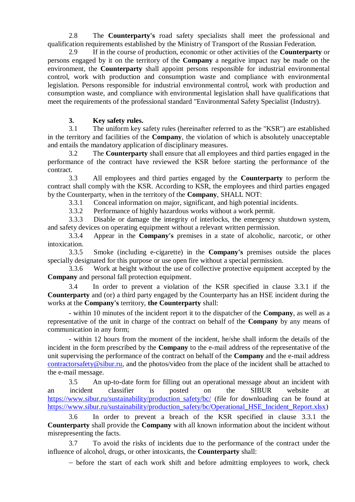2.8 The **Counterparty's** road safety specialists shall meet the professional and qualification requirements established by the Ministry of Transport of the Russian Federation.

<span id="page-3-2"></span>2.9 If in the course of production, economic or other activities of the **Counterparty** or persons engaged by it on the territory of the **Company** a negative impact nay be made on the environment, the **Counterparty** shall appoint persons responsible for industrial environmental control, work with production and consumption waste and compliance with environmental legislation. Persons responsible for industrial environmental control, work with production and consumption waste, and compliance with environmental legislation shall have qualifications that meet the requirements of the professional standard "Environmental Safety Specialist (Industry).

### **3. Key safety rules.**

<span id="page-3-1"></span>3.1 The uniform key safety rules (hereinafter referred to as the "KSR") are established in the territory and facilities of the **Company**, the violation of which is absolutely unacceptable and entails the mandatory application of disciplinary measures.

3.2 The **Counterparty** shall ensure that all employees and third parties engaged in the performance of the contract have reviewed the KSR before starting the performance of the contract.

3.3 All employees and third parties engaged by the **Counterparty** to perform the contract shall comply with the KSR. According to KSR, the employees and third parties engaged by the Counterparty, when in the territory of the **Company**, SHALL NOT:

3.3.1 Conceal information on major, significant, and high potential incidents.

3.3.2 Performance of highly hazardous works without a work permit.

<span id="page-3-0"></span>3.3.3 Disable or damage the integrity of interlocks, the emergency shutdown system, and safety devices on operating equipment without a relevant written permission.

3.3.4 Appear in the **Company's** premises in a state of alcoholic, narcotic, or other intoxication.

3.3.5 Smoke (including e-cigarette) in the **Company's** premises outside the places specially designated for this purpose or use open fire without a special permission.

3.3.6 Work at height without the use of collective protective equipment accepted by the **Company** and personal fall protection equipment.

<span id="page-3-3"></span>3.4 In order to prevent a violation of the KSR specified in clause [3.3.1](#page-3-0) if the **Counterparty** and (or) a third party engaged by the Counterparty has an HSE incident during the works at the **Company's** territory, **the Counterparty** shall:

- within 10 minutes of the incident report it to the dispatcher of the **Company**, as well as a representative of the unit in charge of the contract on behalf of the **Company** by any means of communication in any form;

- within 12 hours from the moment of the incident, he/she shall inform the details of the incident in the form prescribed by the **Company** to the e-mail address of the representative of the unit supervising the performance of the contract on behalf of the **Company** and the e-mail address [contractorsafety@sibur.ru,](mailto:contractorsafety@sibur.ru) and the photos/video from the place of the incident shall be attached to the e-mail message.

3.5 An up-to-date form for filling out an operational message about an incident with an incident classifier is posted on the SIBUR website at [https://www.sibur.ru/sustainability/production\\_safety/bc/](https://www.sibur.ru/sustainability/production_safety/bc/) (file for downloading can be found at [https://www.sibur.ru/sustainability/production\\_safety/bc/Operational\\_HSE\\_Incident\\_Report.xlsx\)](https://www.sibur.ru/sustainability/production_safety/bc/Operational_HSE_Incident_Report.xlsx)

3.6 In order to prevent a breach of the KSR specified in clause [3.3.1](#page-3-0) the **Counterparty** shall provide the **Company** with all known information about the incident without misrepresenting the facts.

3.7 To avoid the risks of incidents due to the performance of the contract under the influence of alcohol, drugs, or other intoxicants, the **Counterparty** shall:

before the start of each work shift and before admitting employees to work, check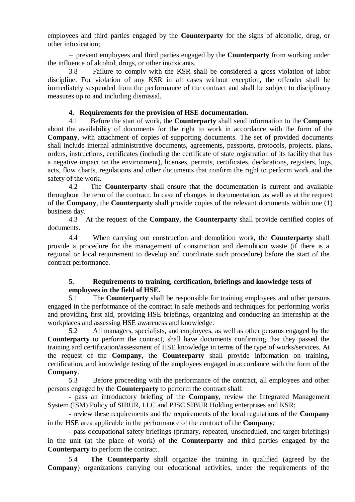employees and third parties engaged by the **Counterparty** for the signs of alcoholic, drug, or other intoxication;

 prevent employees and third parties engaged by the **Counterparty** from working under the influence of alcohol, drugs, or other intoxicants.

3.8 Failure to comply with the KSR shall be considered a gross violation of labor discipline. For violation of any KSR in all cases without exception, the offender shall be immediately suspended from the performance of the contract and shall be subject to disciplinary measures up to and including dismissal.

# **4. Requirements for the provision of HSE documentation.**

<span id="page-4-0"></span>4.1 Before the start of work, the **Counterparty** shall send information to the **Company** about the availability of documents for the right to work in accordance with the form of the **Company**, with attachment of copies of supporting documents. The set of provided documents shall include internal administrative documents, agreements, passports, protocols, projects, plans, orders, instructions, certificates (including the certificate of state registration of its facility that has a negative impact on the environment), licenses, permits, certificates, declarations, registers, logs, acts, flow charts, regulations and other documents that confirm the right to perform work and the safety of the work.

4.2 The **Counterparty** shall ensure that the documentation is current and available throughout the term of the contract. In case of changes in documentation, as well as at the request of the **Company**, the **Counterparty** shall provide copies of the relevant documents within one (1) business day.

4.3 At the request of the **Company**, the **Counterparty** shall provide certified copies of documents.

4.4 When carrying out construction and demolition work, the **Counterparty** shall provide a procedure for the management of construction and demolition waste (if there is a regional or local requirement to develop and coordinate such procedure) before the start of the contract performance.

# <span id="page-4-1"></span>**5. Requirements to training, certification, briefings and knowledge tests of employees in the field of HSE.**

5.1 The **Counterparty** shall be responsible for training employees and other persons engaged in the performance of the contract in safe methods and techniques for performing works and providing first aid, providing HSE briefings, organizing and conducting an internship at the workplaces and assessing HSE awareness and knowledge.

5.2 All managers, specialists, and employees, as well as other persons engaged by the **Counterparty** to perform the contract, shall have documents confirming that they passed the training and certification/assessment of HSE knowledge in terms of the type of works/services. At the request of the **Company**, the **Counterparty** shall provide information on training, certification, and knowledge testing of the employees engaged in accordance with the form of the **Company**.

5.3 Before proceeding with the performance of the contract, all employees and other persons engaged by the **Counterparty** to perform the contract shall:

- pass an introductory briefing of the **Company**, review the Integrated Management System (ISM) Policy of SIBUR, LLC and PJSC SIBUR Holding enterprises and KSR;

- review these requirements and the requirements of the local regulations of the **Company**  in the HSE area applicable in the performance of the contract of the **Company**;

- pass occupational safety briefings (primary, repeated, unscheduled, and target briefings) in the unit (at the place of work) of the **Counterparty** and third parties engaged by the **Counterparty** to perform the contract.

5.4 **The Counterparty** shall organize the training in qualified (agreed by the **Company**) organizations carrying out educational activities, under the requirements of the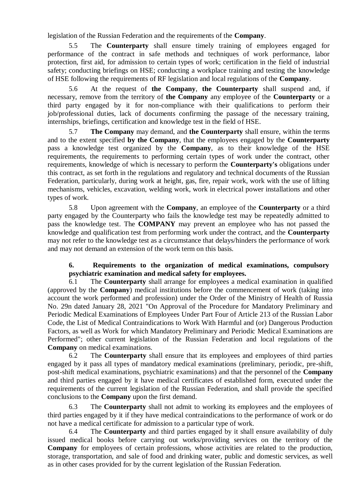legislation of the Russian Federation and the requirements of the **Company**.

5.5 The **Counterparty** shall ensure timely training of employees engaged for performance of the contract in safe methods and techniques of work performance, labor protection, first aid, for admission to certain types of work; certification in the field of industrial safety; conducting briefings on HSE; conducting a workplace training and testing the knowledge of HSE following the requirements of RF legislation and local regulations of the **Company**.

5.6 At the request of **the Company**, **the Counterparty** shall suspend and, if necessary, remove from the territory of **the Company** any employee of the **Counterparty** or a third party engaged by it for non-compliance with their qualifications to perform their job/professional duties, lack of documents confirming the passage of the necessary training, internships, briefings, certification and knowledge test in the field of HSE.

5.7 **The Company** may demand, and **the Counterparty** shall ensure, within the terms and to the extent specified **by the Company**, that the employees engaged by the **Counterparty** pass a knowledge test organized by the **Company**, as to their knowledge of the HSE requirements, the requirements to performing certain types of work under the contract, other requirements, knowledge of which is necessary to perform the **Counterparty's** obligations under this contract, as set forth in the regulations and regulatory and technical documents of the Russian Federation, particularly, during work at height, gas, fire, repair work, work with the use of lifting mechanisms, vehicles, excavation, welding work, work in electrical power installations and other types of work.

5.8 Upon agreement with the **Company**, an employee of the **Counterparty** or a third party engaged by the Counterparty who fails the knowledge test may be repeatedly admitted to pass the knowledge test. The **COMPANY** may prevent an employee who has not passed the knowledge and qualification test from performing work under the contract, and the **Counterparty** may not refer to the knowledge test as a circumstance that delays/hinders the performance of work and may not demand an extension of the work term on this basis.

# **6. Requirements to the organization of medical examinations, compulsory psychiatric examination and medical safety for employees.**

<span id="page-5-0"></span>6.1 The **Counterparty** shall arrange for employees a medical examination in qualified (approved by the **Company**) medical institutions before the commencement of work (taking into account the work performed and profession) under the Order of the Ministry of Health of Russia No. 29n dated January 28, 2021 "On Approval of the Procedure for Mandatory Preliminary and Periodic Medical Examinations of Employees Under Part Four of Article 213 of the Russian Labor Code, the List of Medical Contraindications to Work With Harmful and (or) Dangerous Production Factors, as well as Work for which Mandatory Preliminary and Periodic Medical Examinations are Performed"; other current legislation of the Russian Federation and local regulations of the **Company** on medical examinations.

6.2 The **Counterparty** shall ensure that its employees and employees of third parties engaged by it pass all types of mandatory medical examinations (preliminary, periodic, pre-shift, post-shift medical examinations, psychiatric examinations) and that the personnel of the **Company** and third parties engaged by it have medical certificates of established form, executed under the requirements of the current legislation of the Russian Federation, and shall provide the specified conclusions to the **Company** upon the first demand.

6.3 The **Counterparty** shall not admit to working its employees and the employees of third parties engaged by it if they have medical contraindications to the performance of work or do not have a medical certificate for admission to a particular type of work.

6.4 The **Counterparty** and third parties engaged by it shall ensure availability of duly issued medical books before carrying out works/providing services on the territory of the **Company** for employees of certain professions, whose activities are related to the production, storage, transportation, and sale of food and drinking water, public and domestic services, as well as in other cases provided for by the current legislation of the Russian Federation.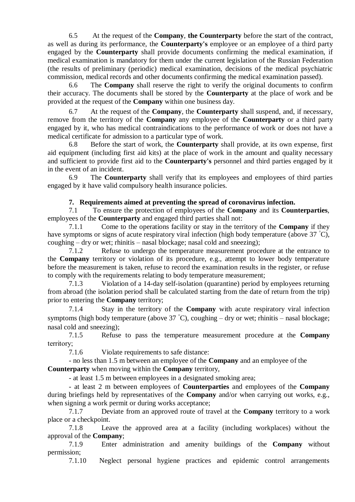6.5 At the request of the **Company**, **the Counterparty** before the start of the contract, as well as during its performance, the **Counterparty's** employee or an employee of a third party engaged by the **Counterparty** shall provide documents confirming the medical examination, if medical examination is mandatory for them under the current legislation of the Russian Federation (the results of preliminary (periodic) medical examination, decisions of the medical psychiatric commission, medical records and other documents confirming the medical examination passed).

6.6 The **Company** shall reserve the right to verify the original documents to confirm their accuracy. The documents shall be stored by the **Counterparty** at the place of work and be provided at the request of the **Company** within one business day.

6.7 At the request of the **Company**, the **Counterparty** shall suspend, and, if necessary, remove from the territory of the **Company** any employee of the **Counterparty** or a third party engaged by it, who has medical contraindications to the performance of work or does not have a medical certificate for admission to a particular type of work.

6.8 Before the start of work, the **Counterparty** shall provide, at its own expense, first aid equipment (including first aid kits) at the place of work in the amount and quality necessary and sufficient to provide first aid to the **Counterparty's** personnel and third parties engaged by it in the event of an incident.

6.9 The **Counterparty** shall verify that its employees and employees of third parties engaged by it have valid compulsory health insurance policies.

# **7. Requirements aimed at preventing the spread of coronavirus infection.**

<span id="page-6-1"></span><span id="page-6-0"></span>7.1 To ensure the protection of employees of the **Company** and its **Counterparties**, employees of the **Counterparty** and engaged third parties shall not:

7.1.1 Come to the operations facility or stay in the territory of the **Company** if they have symptoms or signs of acute respiratory viral infection (high body temperature (above 37 °C), coughing – dry or wet; rhinitis – nasal blockage; nasal cold and sneezing);

7.1.2 Refuse to undergo the temperature measurement procedure at the entrance to the **Company** territory or violation of its procedure, e.g., attempt to lower body temperature before the measurement is taken, refuse to record the examination results in the register, or refuse to comply with the requirements relating to body temperature measurement;

7.1.3 Violation of a 14-day self-isolation (quarantine) period by employees returning from abroad (the isolation period shall be calculated starting from the date of return from the trip) prior to entering the **Company** territory;

7.1.4 Stay in the territory of the **Company** with acute respiratory viral infection symptoms (high body temperature (above  $37 \degree C$ ), coughing – dry or wet; rhinitis – nasal blockage; nasal cold and sneezing);

7.1.5 Refuse to pass the temperature measurement procedure at the **Company**  territorу;

7.1.6 Violate requirements to safe distance:

- no less than 1.5 m between an employee of the **Company** and an employee of the **Counterparty** when moving within the **Company** territory,

- at least 1.5 m between employees in a designated smoking area;

- at least 2 m between employees of **Counterparties** and employees of the **Company**  during briefings held by representatives of the **Company** and/or when carrying out works, e.g., when signing a work permit or during works acceptance:

7.1.7 Deviate from an approved route of travel at the **Company** territory to a work place or a checkpoint.

7.1.8 Leave the approved area at a facility (including workplaces) without the approval of the **Company**;

7.1.9 Enter administration and amenity buildings of the **Company** without permission;

7.1.10 Neglect personal hygiene practices and epidemic control arrangements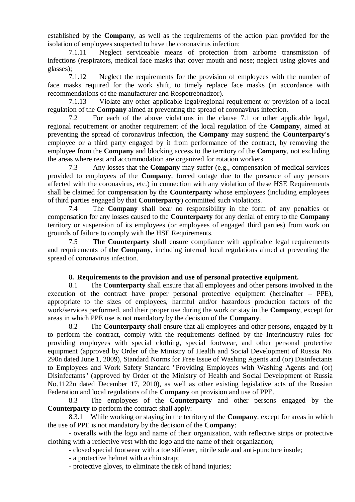established by the **Company**, as well as the requirements of the action plan provided for the isolation of employees suspected to have the coronavirus infection;

7.1.11 Neglect serviceable means of protection from airborne transmission of infections (respirators, medical face masks that cover mouth and nose; neglect using gloves and glasses);

7.1.12 Neglect the requirements for the provision of employees with the number of face masks required for the work shift, to timely replace face masks (in accordance with recommendations of the manufacturer and Rospotrebnadzor).

7.1.13 Violate any other applicable legal/regional requirement or provision of a local regulation of the **Company** aimed at preventing the spread of coronavirus infection.

7.2 For each of the above violations in the clause [7.1](#page-6-0) or other applicable legal, regional requirement or another requirement of the local regulation of the **Company**, aimed at preventing the spread of coronavirus infection, the **Company** may suspend the **Counterparty's** employee or a third party engaged by it from performance of the contract, by removing the employee from the **Company** and blocking access to the territory of the **Company**, not excluding the areas where rest and accommodation are organized for rotation workers.

7.3 Any losses that the **Company** may suffer (e.g., compensation of medical services provided to employees of the **Company**, forced outage due to the presence of any persons affected with the coronavirus, etc.) in connection with any violation of these HSE Requirements shall be claimed for compensation by the **Counterparty** whose employees (including employees of third parties engaged by that **Counterparty**) committed such violations.

7.4 The **Company** shall bear no responsibility in the form of any penalties or compensation for any losses caused to the **Counterparty** for any denial of entry to the **Company**  territory or suspension of its employees (or employees of engaged third parties) from work on grounds of failure to comply with the HSE Requirements.

7.5 **The Counterparty** shall ensure compliance with applicable legal requirements and requirements of **the Company**, including internal local regulations aimed at preventing the spread of coronavirus infection.

### **8. Requirements to the provision and use of personal protective equipment.**

<span id="page-7-0"></span>8.1 The **Counterparty** shall ensure that all employees and other persons involved in the execution of the contract have proper personal protective equipment (hereinafter  $-$  PPE), appropriate to the sizes of employees, harmful and/or hazardous production factors of the work/services performed, and their proper use during the work or stay in the **Company**, except for areas in which PPE use is not mandatory by the decision of the **Company**.

8.2 The **Counterparty** shall ensure that all employees and other persons, engaged by it to perform the contract, comply with the requirements defined by the Interindustry rules for providing employees with special clothing, special footwear, and other personal protective equipment (approved by Order of the Ministry of Health and Social Development of Russia No. 290n dated June 1, 2009), Standard Norms for Free Issue of Washing Agents and (or) Disinfectants to Employees and Work Safety Standard "Providing Employees with Washing Agents and (or) Disinfectants" (approved by Order of the Ministry of Health and Social Development of Russia No.1122n dated December 17, 2010), as well as other existing legislative acts of the Russian Federation and local regulations of the **Company** on provision and use of PPE.

8.3 The employees of the **Counterparty** and other persons engaged by the **Counterparty** to perform the contract shall apply:

8.3.1 While working or staying in the territory of the **Company**, except for areas in which the use of PPE is not mandatory by the decision of the **Company**:

- overalls with the logo and name of their organization, with reflective strips or protective clothing with a reflective vest with the logo and the name of their organization;

- closed special footwear with a toe stiffener, nitrile sole and anti-puncture insole;

- a protective helmet with a chin strap;

- protective gloves, to eliminate the risk of hand injuries;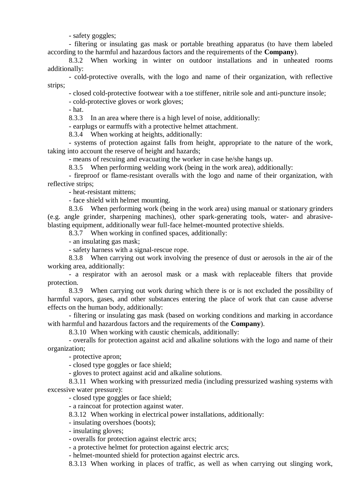- safety goggles;

- filtering or insulating gas mask or portable breathing apparatus (to have them labeled according to the harmful and hazardous factors and the requirements of the **Company**).

8.3.2 When working in winter on outdoor installations and in unheated rooms additionally:

- cold-protective overalls, with the logo and name of their organization, with reflective strips;

- closed cold-protective footwear with a toe stiffener, nitrile sole and anti-puncture insole;

- cold-protective gloves or work gloves;

- hat.

8.3.3 In an area where there is a high level of noise, additionally:

- earplugs or earmuffs with a protective helmet attachment.

8.3.4 When working at heights, additionally:

- systems of protection against falls from height, appropriate to the nature of the work, taking into account the reserve of height and hazards;

- means of rescuing and evacuating the worker in case he/she hangs up.

8.3.5 When performing welding work (being in the work area), additionally:

- fireproof or flame-resistant overalls with the logo and name of their organization, with reflective strips;

- heat-resistant mittens;

- face shield with helmet mounting.

8.3.6 When performing work (being in the work area) using manual or stationary grinders (e.g. angle grinder, sharpening machines), other spark-generating tools, water- and abrasiveblasting equipment, additionally wear full-face helmet-mounted protective shields.

8.3.7 When working in confined spaces, additionally:

- an insulating gas mask;

- safety harness with a signal-rescue rope.

8.3.8 When carrying out work involving the presence of dust or aerosols in the air of the working area, additionally:

- a respirator with an aerosol mask or a mask with replaceable filters that provide protection.

8.3.9 When carrying out work during which there is or is not excluded the possibility of harmful vapors, gases, and other substances entering the place of work that can cause adverse effects on the human body, additionally:

- filtering or insulating gas mask (based on working conditions and marking in accordance with harmful and hazardous factors and the requirements of the **Company**).

8.3.10 When working with caustic chemicals, additionally:

- overalls for protection against acid and alkaline solutions with the logo and name of their organization;

- protective apron;

- closed type goggles or face shield;

- gloves to protect against acid and alkaline solutions.

8.3.11 When working with pressurized media (including pressurized washing systems with excessive water pressure):

- closed type goggles or face shield;

- a raincoat for protection against water.

8.3.12 When working in electrical power installations, additionally:

- insulating overshoes (boots);

- insulating gloves;

- overalls for protection against electric arcs;

- a protective helmet for protection against electric arcs;

- helmet-mounted shield for protection against electric arcs.

8.3.13 When working in places of traffic, as well as when carrying out slinging work,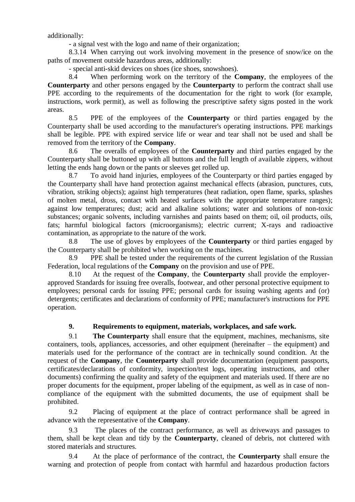additionally:

- a signal vest with the logo and name of their organization;

8.3.14 When carrying out work involving movement in the presence of snow/ice on the paths of movement outside hazardous areas, additionally:

- special anti-skid devices on shoes (ice shoes, snowshoes).

8.4 When performing work on the territory of the **Company**, the employees of the **Counterparty** and other persons engaged by the **Counterparty** to perform the contract shall use PPE according to the requirements of the documentation for the right to work (for example, instructions, work permit), as well as following the prescriptive safety signs posted in the work areas.

8.5 PPE of the employees of the **Counterparty** or third parties engaged by the Counterparty shall be used according to the manufacturer's operating instructions. PPE markings shall be legible. PPE with expired service life or wear and tear shall not be used and shall be removed from the territory of the **Company**.

8.6 The overalls of employees of the **Counterparty** and third parties engaged by the Counterparty shall be buttoned up with all buttons and the full length of available zippers, without letting the ends hang down or the pants or sleeves get rolled up.

8.7 To avoid hand injuries, employees of the Counterparty or third parties engaged by the Counterparty shall have hand protection against mechanical effects (abrasion, punctures, cuts, vibration, striking objects); against high temperatures (heat radiation, open flame, sparks, splashes of molten metal, dross, contact with heated surfaces with the appropriate temperature ranges); against low temperatures; dust; acid and alkaline solutions; water and solutions of non-toxic substances; organic solvents, including varnishes and paints based on them; oil, oil products, oils, fats; harmful biological factors (microorganisms); electric current; X-rays and radioactive contamination, as appropriate to the nature of the work.

8.8 The use of gloves by employees of the **Counterparty** or third parties engaged by the Counterparty shall be prohibited when working on the machines.

8.9 PPE shall be tested under the requirements of the current legislation of the Russian Federation, local regulations of the **Company** on the provision and use of PPE.

8.10 At the request of the **Company**, the **Counterparty** shall provide the employerapproved Standards for issuing free overalls, footwear, and other personal protective equipment to employees; personal cards for issuing PPE; personal cards for issuing washing agents and (or) detergents; certificates and declarations of conformity of PPE; manufacturer's instructions for PPE operation.

# **9. Requirements to equipment, materials, workplaces, and safe work.**

<span id="page-9-0"></span>9.1 **The Counterparty** shall ensure that the equipment, machines, mechanisms, site containers, tools, appliances, accessories, and other equipment (hereinafter – the equipment) and materials used for the performance of the contract are in technically sound condition. At the request of the **Company**, the **Counterparty** shall provide documentation (equipment passports, certificates/declarations of conformity, inspection/test logs, operating instructions, and other documents) confirming the quality and safety of the equipment and materials used. If there are no proper documents for the equipment, proper labeling of the equipment, as well as in case of noncompliance of the equipment with the submitted documents, the use of equipment shall be prohibited.

9.2 Placing of equipment at the place of contract performance shall be agreed in advance with the representative of the **Company**.

9.3 The places of the contract performance, as well as driveways and passages to them, shall be kept clean and tidy by the **Counterparty**, cleaned of debris, not cluttered with stored materials and structures.

9.4 At the place of performance of the contract, the **Counterparty** shall ensure the warning and protection of people from contact with harmful and hazardous production factors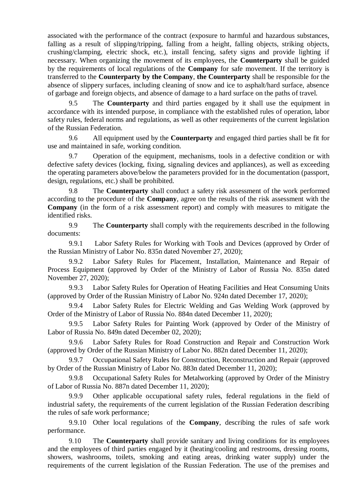associated with the performance of the contract (exposure to harmful and hazardous substances, falling as a result of slipping/tripping, falling from a height, falling objects, striking objects, crushing/clamping, electric shock, etc.), install fencing, safety signs and provide lighting if necessary. When organizing the movement of its employees, the **Counterparty** shall be guided by the requirements of local regulations of the **Company** for safe movement. If the territory is transferred to the **Counterparty by the Company**, **the Counterparty** shall be responsible for the absence of slippery surfaces, including cleaning of snow and ice to asphalt/hard surface, absence of garbage and foreign objects, and absence of damage to a hard surface on the paths of travel.

9.5 The **Counterparty** and third parties engaged by it shall use the equipment in accordance with its intended purpose, in compliance with the established rules of operation, labor safety rules, federal norms and regulations, as well as other requirements of the current legislation of the Russian Federation.

9.6 All equipment used by the **Counterparty** and engaged third parties shall be fit for use and maintained in safe, working condition.

9.7 Operation of the equipment, mechanisms, tools in a defective condition or with defective safety devices (locking, fixing, signaling devices and appliances), as well as exceeding the operating parameters above/below the parameters provided for in the documentation (passport, design, regulations, etc.) shall be prohibited.

9.8 The **Counterparty** shall conduct a safety risk assessment of the work performed according to the procedure of the **Company**, agree on the results of the risk assessment with the **Company** (in the form of a risk assessment report) and comply with measures to mitigate the identified risks.

9.9 The **Counterparty** shall comply with the requirements described in the following documents:

9.9.1 Labor Safety Rules for Working with Tools and Devices (approved by Order of the Russian Ministry of Labor No. 835n dated November 27, 2020);

9.9.2 Labor Safety Rules for Placement, Installation, Maintenance and Repair of Process Equipment (approved by Order of the Ministry of Labor of Russia No. 835n dated November 27, 2020);

9.9.3 Labor Safety Rules for Operation of Heating Facilities and Heat Consuming Units (approved by Order of the Russian Ministry of Labor No. 924n dated December 17, 2020);

9.9.4 Labor Safety Rules for Electric Welding and Gas Welding Work (approved by Order of the Ministry of Labor of Russia No. 884n dated December 11, 2020);

9.9.5 Labor Safety Rules for Painting Work (approved by Order of the Ministry of Labor of Russia No. 849n dated December 02, 2020);

9.9.6 Labor Safety Rules for Road Construction and Repair and Construction Work (approved by Order of the Russian Ministry of Labor No. 882n dated December 11, 2020);

9.9.7 Occupational Safety Rules for Construction, Reconstruction and Repair (approved by Order of the Russian Ministry of Labor No. 883n dated December 11, 2020);

9.9.8 Occupational Safety Rules for Metalworking (approved by Order of the Ministry of Labor of Russia No. 887n dated December 11, 2020);

9.9.9 Other applicable occupational safety rules, federal regulations in the field of industrial safety, the requirements of the current legislation of the Russian Federation describing the rules of safe work performance;

9.9.10 Other local regulations of the **Company**, describing the rules of safe work performance.

9.10 The **Counterparty** shall provide sanitary and living conditions for its employees and the employees of third parties engaged by it (heating/cooling and restrooms, dressing rooms, showers, washrooms, toilets, smoking and eating areas, drinking water supply) under the requirements of the current legislation of the Russian Federation. The use of the premises and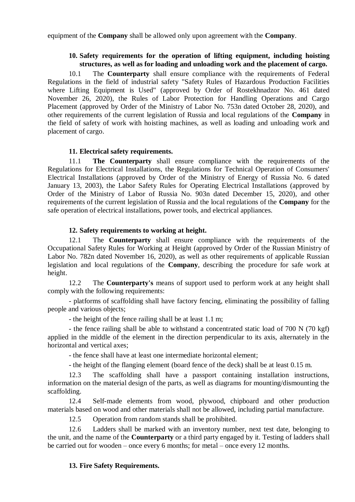<span id="page-11-0"></span>equipment of the **Company** shall be allowed only upon agreement with the **Company**.

## **10. Safety requirements for the operation of lifting equipment, including hoisting structures, as well as for loading and unloading work and the placement of cargo.**

10.1 The **Counterparty** shall ensure compliance with the requirements of Federal Regulations in the field of industrial safety "Safety Rules of Hazardous Production Facilities where Lifting Equipment is Used" (approved by Order of Rostekhnadzor No. 461 dated November 26, 2020), the Rules of Labor Protection for Handling Operations and Cargo Placement (approved by Order of the Ministry of Labor No. 753n dated October 28, 2020), and other requirements of the current legislation of Russia and local regulations of the **Company** in the field of safety of work with hoisting machines, as well as loading and unloading work and placement of cargo.

### **11. Electrical safety requirements.**

<span id="page-11-1"></span>11.1 **The Counterparty** shall ensure compliance with the requirements of the Regulations for Electrical Installations, the Regulations for Technical Operation of Consumers' Electrical Installations (approved by Order of the Ministry of Energy of Russia No. 6 dated January 13, 2003), the Labor Safety Rules for Operating Electrical Installations (approved by Order of the Ministry of Labor of Russia No. 903n dated December 15, 2020), and other requirements of the current legislation of Russia and the local regulations of the **Company** for the safe operation of electrical installations, power tools, and electrical appliances.

#### **12. Safety requirements to working at height.**

<span id="page-11-2"></span>12.1 The **Counterparty** shall ensure compliance with the requirements of the Occupational Safety Rules for Working at Height (approved by Order of the Russian Ministry of Labor No. 782n dated November 16, 2020), as well as other requirements of applicable Russian legislation and local regulations of the **Company**, describing the procedure for safe work at height.

12.2 The **Counterparty's** means of support used to perform work at any height shall comply with the following requirements:

- platforms of scaffolding shall have factory fencing, eliminating the possibility of falling people and various objects;

- the height of the fence railing shall be at least 1.1 m;

- the fence railing shall be able to withstand a concentrated static load of 700 N (70 kgf) applied in the middle of the element in the direction perpendicular to its axis, alternately in the horizontal and vertical axes;

- the fence shall have at least one intermediate horizontal element;

- the height of the flanging element (board fence of the deck) shall be at least 0.15 m.

12.3 The scaffolding shall have a passport containing installation instructions, information on the material design of the parts, as well as diagrams for mounting/dismounting the scaffolding.

12.4 Self-made elements from wood, plywood, chipboard and other production materials based on wood and other materials shall not be allowed, including partial manufacture.

12.5 Operation from random stands shall be prohibited.

12.6 Ladders shall be marked with an inventory number, next test date, belonging to the unit, and the name of the **Counterparty** or a third party engaged by it. Testing of ladders shall be carried out for wooden – once every 6 months; for metal – once every 12 months.

### <span id="page-11-3"></span>**13. Fire Safety Requirements.**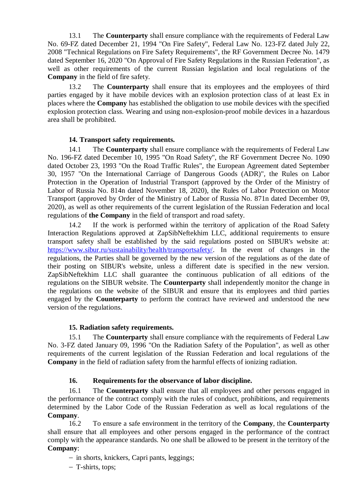13.1 The **Counterparty** shall ensure compliance with the requirements of Federal Law No. 69-FZ dated December 21, 1994 "On Fire Safety", Federal Law No. 123-FZ dated July 22, 2008 "Technical Regulations on Fire Safety Requirements", the RF Government Decree No. 1479 dated September 16, 2020 "On Approval of Fire Safety Regulations in the Russian Federation", as well as other requirements of the current Russian legislation and local regulations of the **Company** in the field of fire safety.

13.2 The **Counterparty** shall ensure that its employees and the employees of third parties engaged by it have mobile devices with an explosion protection class of at least Ex in places where the **Company** has established the obligation to use mobile devices with the specified explosion protection class. Wearing and using non-explosion-proof mobile devices in a hazardous area shall be prohibited.

# **14. Transport safety requirements.**

<span id="page-12-0"></span>14.1 The **Counterparty** shall ensure compliance with the requirements of Federal Law No. 196-FZ dated December 10, 1995 "On Road Safety", the RF Government Decree No. 1090 dated October 23, 1993 "On the Road Traffic Rules", the European Agreement dated September 30, 1957 "On the International Carriage of Dangerous Goods (ADR)", the Rules on Labor Protection in the Operation of Industrial Transport (approved by the Order of the Ministry of Labor of Russia No. 814n dated November 18, 2020), the Rules of Labor Protection on Motor Transport (approved by Order of the Ministry of Labor of Russia No. 871n dated December 09, 2020), as well as other requirements of the current legislation of the Russian Federation and local regulations of **the Company** in the field of transport and road safety.

14.2 If the work is performed within the territory of application of the Road Safety Interaction Regulations approved at ZapSibNeftekhim LLC, additional requirements to ensure transport safety shall be established by the said regulations posted on SIBUR's website at: [https://www.sibur.ru/sustainability/health/transportsafety/.](https://www.sibur.ru/sustainability/health/transportsafety/) In the event of changes in the regulations, the Parties shall be governed by the new version of the regulations as of the date of their posting on SIBUR's website, unless a different date is specified in the new version. ZapSibNeftekhim LLC shall guarantee the continuous publication of all editions of the regulations on the SIBUR website. The **Counterparty** shall independently monitor the change in the regulations on the website of the SIBUR and ensure that its employees and third parties engaged by the **Counterparty** to perform the contract have reviewed and understood the new version of the regulations.

### **15. Radiation safety requirements.**

<span id="page-12-1"></span>15.1 The **Counterparty** shall ensure compliance with the requirements of Federal Law No. 3-FZ dated January 09, 1996 "On the Radiation Safety of the Population", as well as other requirements of the current legislation of the Russian Federation and local regulations of the **Company** in the field of radiation safety from the harmful effects of ionizing radiation.

### **16. Requirements for the observance of labor discipline.**

<span id="page-12-2"></span>16.1 The **Counterparty** shall ensure that all employees and other persons engaged in the performance of the contract comply with the rules of conduct, prohibitions, and requirements determined by the Labor Code of the Russian Federation as well as local regulations of the **Company**.

16.2 To ensure a safe environment in the territory of the **Company**, the **Counterparty**  shall ensure that all employees and other persons engaged in the performance of the contract comply with the appearance standards. No one shall be allowed to be present in the territory of the **Company**:

- in shorts, knickers, Capri pants, leggings;

T-shirts, tops;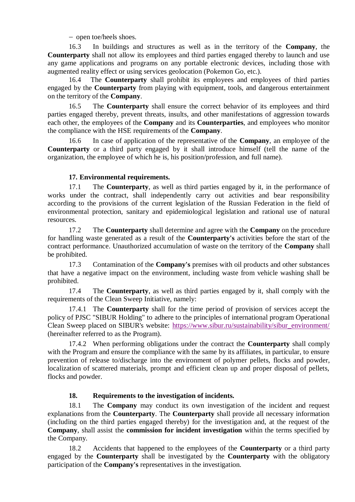- open toe/heels shoes.

16.3 In buildings and structures as well as in the territory of the **Company**, the **Counterparty** shall not allow its employees and third parties engaged thereby to launch and use any game applications and programs on any portable electronic devices, including those with augmented reality effect or using services geolocation (Pokemon Go, etc.).

16.4 The **Counterparty** shall prohibit its employees and employees of third parties engaged by the **Counterparty** from playing with equipment, tools, and dangerous entertainment on the territory of the **Company**.

16.5 The **Counterparty** shall ensure the correct behavior of its employees and third parties engaged thereby, prevent threats, insults, and other manifestations of aggression towards each other, the employees of the **Company** and its **Counterparties**, and employees who monitor the compliance with the HSE requirements of the **Company**.

16.6 In case of application of the representative of the **Company**, an employee of the **Counterparty** or a third party engaged by it shall introduce himself (tell the name of the organization, the employee of which he is, his position/profession, and full name).

# **17. Environmental requirements.**

17.1 The **Counterparty**, as well as third parties engaged by it, in the performance of works under the contract, shall independently carry out activities and bear responsibility according to the provisions of the current legislation of the Russian Federation in the field of environmental protection, sanitary and epidemiological legislation and rational use of natural resources.

<span id="page-13-0"></span>17.2 The **Counterparty** shall determine and agree with the **Company** on the procedure for handling waste generated as a result of the **Counterparty's** activities before the start of the contract performance. Unauthorized accumulation of waste on the territory of the **Company** shall be prohibited.

<span id="page-13-1"></span>17.3 Contamination of the **Company's** premises with oil products and other substances that have a negative impact on the environment, including waste from vehicle washing shall be prohibited.

17.4 The **Counterparty**, as well as third parties engaged by it, shall comply with the requirements of the Clean Sweep Initiative, namely:

17.4.1 The **Counterparty** shall for the time period of provision of services accept the policy of PJSC "SIBUR Holding" to adhere to the principles of international program Operational Clean Sweep placed on SIBUR's website: [https://www.sibur.ru/sustainability/sibur\\_environment/](https://www.sibur.ru/sustainability/sibur_environment/) (hereinafter referred to as the Program).

17.4.2 When performing obligations under the contract the **Counterparty** shall comply with the Program and ensure the compliance with the same by its affiliates, in particular, to ensure prevention of release to/discharge into the environment of polymer pellets, flocks and powder, localization of scattered materials, prompt and efficient clean up and proper disposal of pellets, flocks and powder.

# <span id="page-13-2"></span>**18. Requirements to the investigation of incidents.**

18.1 The **Company** may conduct its own investigation of the incident and request explanations from the **Counterparty**. The **Counterparty** shall provide all necessary information (including on the third parties engaged thereby) for the investigation and, at the request of the **Company**, shall assist the **commission for incident investigation** within the terms specified by the Company.

18.2 Accidents that happened to the employees of the **Counterparty** or a third party engaged by the **Counterparty** shall be investigated by the **Counterparty** with the obligatory participation of the **Company's** representatives in the investigation.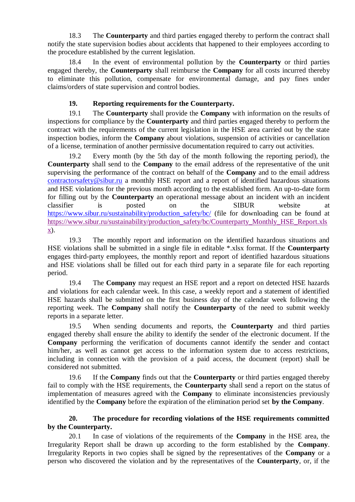18.3 The **Counterparty** and third parties engaged thereby to perform the contract shall notify the state supervision bodies about accidents that happened to their employees according to the procedure established by the current legislation.

18.4 In the event of environmental pollution by the **Counterparty** or third parties engaged thereby, the **Counterparty** shall reimburse the **Company** for all costs incurred thereby to eliminate this pollution, compensate for environmental damage, and pay fines under claims/orders of state supervision and control bodies.

# **19. Reporting requirements for the Counterparty.**

<span id="page-14-0"></span>19.1 The **Counterparty** shall provide the **Company** with information on the results of inspections for compliance by the **Counterparty** and third parties engaged thereby to perform the contract with the requirements of the current legislation in the HSE area carried out by the state inspection bodies, inform the **Company** about violations, suspension of activities or cancellation of a license, termination of another permissive documentation required to carry out activities.

19.2 Every month (by the 5th day of the month following the reporting period), the **Counterparty** shall send to the **Company** to the email address of the representative of the unit supervising the performance of the contract on behalf of the **Company** and to the email address [contractorsafety@sibur.ru](mailto:contractorsafety@sibur.ru) a monthly HSE report and a report of identified hazardous situations and HSE violations for the previous month according to the established form. An up-to-date form for filling out by the **Counterparty** an operational message about an incident with an incident classifier is posted on the SIBUR website at https://www.sibur.ru/sustainability/production safety/bc/ (file for downloading can be found at [https://www.sibur.ru/sustainability/production\\_safety/bc/Counterparty\\_Monthly\\_HSE\\_Report.xls](https://www.sibur.ru/sustainability/production_safety/bc/Counterparty_Monthly_HSE_Report.xlsx) [x\)](https://www.sibur.ru/sustainability/production_safety/bc/Counterparty_Monthly_HSE_Report.xlsx).

19.3 The monthly report and information on the identified hazardous situations and HSE violations shall be submitted in a single file in editable \*.xlsx format. If the **Counterparty**  engages third-party employees, the monthly report and report of identified hazardous situations and HSE violations shall be filled out for each third party in a separate file for each reporting period.

19.4 The **Company** may request an HSE report and a report on detected HSE hazards and violations for each calendar week. In this case, a weekly report and a statement of identified HSE hazards shall be submitted on the first business day of the calendar week following the reporting week. The **Company** shall notify the **Counterparty** of the need to submit weekly reports in a separate letter.

19.5 When sending documents and reports, the **Counterparty** and third parties engaged thereby shall ensure the ability to identify the sender of the electronic document. If the **Company** performing the verification of documents cannot identify the sender and contact him/her, as well as cannot get access to the information system due to access restrictions, including in connection with the provision of a paid access, the document (report) shall be considered not submitted.

19.6 If the **Company** finds out that the **Counterparty** or third parties engaged thereby fail to comply with the HSE requirements, the **Counterparty** shall send a report on the status of implementation of measures agreed with the **Company** to eliminate inconsistencies previously identified by the **Company** before the expiration of the elimination period set **by the Company**.

# **20. The procedure for recording violations of the HSE requirements committed by the Counterparty.**

20.1 In case of violations of the requirements of the **Company** in the HSE area, the Irregularity Report shall be drawn up according to the form established by the **Company**. Irregularity Reports in two copies shall be signed by the representatives of the **Company** or a person who discovered the violation and by the representatives of the **Counterparty**, or, if the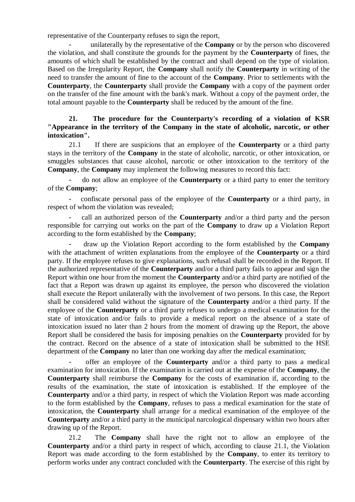representative of the Counterparty refuses to sign the report,

- unilaterally by the representative of the **Company** or by the person who discovered the violation, and shall constitute the grounds for the payment by the **Counterparty** of fines, the amounts of which shall be established by the contract and shall depend on the type of violation. Based on the Irregularity Report, the **Company** shall notify the **Counterparty** in writing of the need to transfer the amount of fine to the account of the **Company**. Prior to settlements with the **Counterparty**, the **Counterparty** shall provide the **Company** with a copy of the payment order on the transfer of the fine amount with the bank's mark. Without a copy of the payment order, the total amount payable to the **Counterparty** shall be reduced by the amount of the fine.

# **21. The procedure for the Counterparty's recording of a violation of KSR "Appearance in the territory of the Company in the state of alcoholic, narcotic, or other intoxication".**

<span id="page-15-0"></span>21.1 If there are suspicions that an employee of the **Counterparty** or a third party stays in the territory of the **Company** in the state of alcoholic, narcotic, or other intoxication, or smuggles substances that cause alcohol, narcotic or other intoxication to the territory of the **Company**, the **Company** may implement the following measures to record this fact:

- do not allow an employee of the **Counterparty** or a third party to enter the territory of the **Company**;

- confiscate personal pass of the employee of the **Counterparty** or a third party, in respect of whom the violation was revealed;

- call an authorized person of the **Counterparty** and/or a third party and the person responsible for carrying out works on the part of the **Company** to draw up a Violation Report according to the form established by the **Company**;

- draw up the Violation Report according to the form established by the **Company**  with the attachment of written explanations from the employee of the **Counterparty** or a third party. If the employee refuses to give explanations, such refusal shall be recorded in the Report. If the authorized representative of the **Counterparty** and/or a third party fails to appear and sign the Report within one hour from the moment the **Counterparty** and/or a third party are notified of the fact that a Report was drawn up against its employee, the person who discovered the violation shall execute the Report unilaterally with the involvement of two persons. In this case, the Report shall be considered valid without the signature of the **Counterparty** and/or a third party. If the employee of the **Counterparty** or a third party refuses to undergo a medical examination for the state of intoxication and/or fails to provide a medical report on the absence of a state of intoxication issued no later than 2 hours from the moment of drawing up the Report, the above Report shall be considered the basis for imposing penalties on the **Counterparty** provided for by the contract. Record on the absence of a state of intoxication shall be submitted to the HSE department of the **Company** no later than one working day after the medical examination;

- offer an employee of the **Counterparty** and/or a third party to pass a medical examination for intoxication. If the examination is carried out at the expense of the **Company**, the **Counterparty** shall reimburse the **Company** for the costs of examination if, according to the results of the examination, the state of intoxication is established. If the employee of the **Counterparty** and/or a third party, in respect of which the Violation Report was made according to the form established by the **Company**, refuses to pass a medical examination for the state of intoxication, the **Counterparty** shall arrange for a medical examination of the employee of the **Counterparty** and/or a third party in the municipal narcological dispensary within two hours after drawing up of the Report.

21.2 The **Company** shall have the right not to allow an employee of the **Counterparty** and/or a third party in respect of which, according to clause [21.1,](#page-15-0) the Violation Report was made according to the form established by the **Company**, to enter its territory to perform works under any contract concluded with the **Counterparty**. The exercise of this right by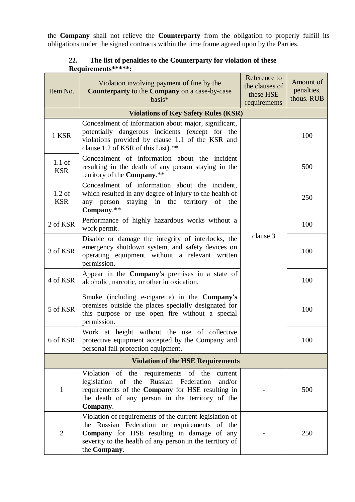the **Company** shall not relieve the **Counterparty** from the obligation to properly fulfill its obligations under the signed contracts within the time frame agreed upon by the Parties.

| Item No.                                 | Violation involving payment of fine by the<br>Counterparty to the Company on a case-by-case<br>basis*                                                                                                                              | Reference to<br>the clauses of<br>these HSE<br>requirements | Amount of<br>penalties,<br>thous. RUB |  |  |
|------------------------------------------|------------------------------------------------------------------------------------------------------------------------------------------------------------------------------------------------------------------------------------|-------------------------------------------------------------|---------------------------------------|--|--|
|                                          | <b>Violations of Key Safety Rules (KSR)</b>                                                                                                                                                                                        |                                                             |                                       |  |  |
| 1 KSR                                    | Concealment of information about major, significant,<br>potentially dangerous incidents (except for the<br>violations provided by clause 1.1 of the KSR and<br>clause 1.2 of KSR of this List).**                                  | clause 3                                                    | 100                                   |  |  |
| $1.1$ of<br><b>KSR</b>                   | Concealment of information about the incident<br>resulting in the death of any person staying in the<br>territory of the Company.**                                                                                                |                                                             | 500                                   |  |  |
| $1.2$ of<br><b>KSR</b>                   | Concealment of information about the incident,<br>which resulted in any degree of injury to the health of<br>staying in the territory of the<br>person<br>any<br>Company.**                                                        |                                                             | 250                                   |  |  |
| 2 of KSR                                 | Performance of highly hazardous works without a<br>work permit.                                                                                                                                                                    |                                                             | 100                                   |  |  |
| 3 of KSR                                 | Disable or damage the integrity of interlocks, the<br>emergency shutdown system, and safety devices on<br>operating equipment without a relevant written<br>permission.                                                            |                                                             | 100                                   |  |  |
| 4 of KSR                                 | Appear in the Company's premises in a state of<br>alcoholic, narcotic, or other intoxication.                                                                                                                                      |                                                             | 100                                   |  |  |
| 5 of KSR                                 | Smoke (including e-cigarette) in the Company's<br>premises outside the places specially designated for<br>this purpose or use open fire without a special<br>permission.                                                           |                                                             | 100                                   |  |  |
| 6 of KSR                                 | Work at height without the use of collective<br>protective equipment accepted by the Company and<br>personal fall protection equipment.                                                                                            |                                                             | 100                                   |  |  |
| <b>Violation of the HSE Requirements</b> |                                                                                                                                                                                                                                    |                                                             |                                       |  |  |
| 1                                        | Violation of the requirements of the<br>current<br>legislation of the Russian Federation<br>and/or<br>requirements of the Company for HSE resulting in<br>the death of any person in the territory of the<br>Company.              |                                                             | 500                                   |  |  |
| $\overline{2}$                           | Violation of requirements of the current legislation of<br>the Russian Federation or requirements of the<br>Company for HSE resulting in damage of any<br>severity to the health of any person in the territory of<br>the Company. |                                                             | 250                                   |  |  |

# **22. The list of penalties to the Counterparty for violation of these Requirements\*\*\*\*\*:**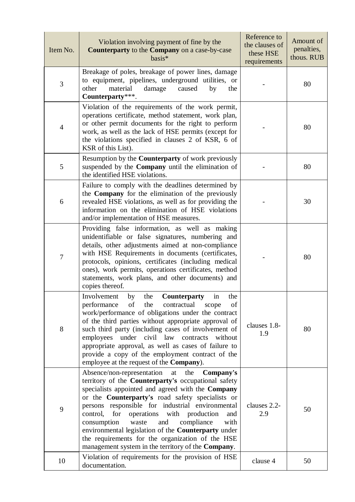| Item No.       | Violation involving payment of fine by the<br>Counterparty to the Company on a case-by-case<br>basis*                                                                                                                                                                                                                                                                                                                                                                                                                                                                 | Reference to<br>the clauses of<br>these HSE<br>requirements | Amount of<br>penalties,<br>thous. RUB |
|----------------|-----------------------------------------------------------------------------------------------------------------------------------------------------------------------------------------------------------------------------------------------------------------------------------------------------------------------------------------------------------------------------------------------------------------------------------------------------------------------------------------------------------------------------------------------------------------------|-------------------------------------------------------------|---------------------------------------|
| 3              | Breakage of poles, breakage of power lines, damage<br>to equipment, pipelines, underground utilities, or<br>other<br>material<br>damage<br>caused<br>by<br>the<br>Counterparty***.                                                                                                                                                                                                                                                                                                                                                                                    |                                                             | 80                                    |
| $\overline{4}$ | Violation of the requirements of the work permit,<br>operations certificate, method statement, work plan,<br>or other permit documents for the right to perform<br>work, as well as the lack of HSE permits (except for<br>the violations specified in clauses 2 of KSR, 6 of<br>KSR of this List).                                                                                                                                                                                                                                                                   |                                                             | 80                                    |
| 5              | Resumption by the <b>Counterparty</b> of work previously<br>suspended by the Company until the elimination of<br>the identified HSE violations.                                                                                                                                                                                                                                                                                                                                                                                                                       |                                                             | 80                                    |
| 6              | Failure to comply with the deadlines determined by<br>the <b>Company</b> for the elimination of the previously<br>revealed HSE violations, as well as for providing the<br>information on the elimination of HSE violations<br>and/or implementation of HSE measures.                                                                                                                                                                                                                                                                                                 |                                                             | 30                                    |
| $\tau$         | Providing false information, as well as making<br>unidentifiable or false signatures, numbering and<br>details, other adjustments aimed at non-compliance<br>with HSE Requirements in documents (certificates,<br>protocols, opinions, certificates (including medical<br>ones), work permits, operations certificates, method<br>statements, work plans, and other documents) and<br>copies thereof.                                                                                                                                                                 |                                                             | 80                                    |
| 8              | Involvement<br>the<br><b>Counterparty</b><br>the<br>by<br>in<br>of the<br>contractual<br>of<br>performance<br>scope<br>work/performance of obligations under the contract<br>of the third parties without appropriate approval of<br>such third party (including cases of involvement of<br>employees under civil law contracts<br>without<br>appropriate approval, as well as cases of failure to<br>provide a copy of the employment contract of the<br>employee at the request of the <b>Company</b> ).                                                            | clauses 1.8-<br>1.9                                         | 80                                    |
| 9              | Absence/non-representation<br>Company's<br>the<br>at<br>territory of the <b>Counterparty's</b> occupational safety<br>specialists appointed and agreed with the Company<br>or the Counterparty's road safety specialists or<br>persons responsible for industrial environmental<br>operations with production<br>control,<br>for<br>and<br>and<br>with<br>consumption<br>waste<br>compliance<br>environmental legislation of the Counterparty under<br>the requirements for the organization of the HSE<br>management system in the territory of the <b>Company</b> . | clauses 2.2-<br>2.9                                         | 50                                    |
| 10             | Violation of requirements for the provision of HSE<br>documentation.                                                                                                                                                                                                                                                                                                                                                                                                                                                                                                  | clause 4                                                    | 50                                    |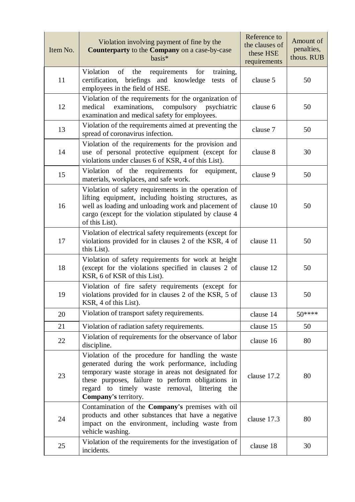| Item No. | Violation involving payment of fine by the<br>Counterparty to the Company on a case-by-case<br>basis*                                                                                                                                                                                         | Reference to<br>the clauses of<br>these HSE<br>requirements | Amount of<br>penalties,<br>thous. RUB |
|----------|-----------------------------------------------------------------------------------------------------------------------------------------------------------------------------------------------------------------------------------------------------------------------------------------------|-------------------------------------------------------------|---------------------------------------|
| 11       | Violation<br>of<br>the<br>requirements<br>for<br>training,<br>briefings and knowledge<br>certification,<br>tests of<br>employees in the field of HSE.                                                                                                                                         | clause 5                                                    | 50                                    |
| 12       | Violation of the requirements for the organization of<br>examinations,<br>compulsory psychiatric<br>medical<br>examination and medical safety for employees.                                                                                                                                  | clause 6                                                    | 50                                    |
| 13       | Violation of the requirements aimed at preventing the<br>spread of coronavirus infection.                                                                                                                                                                                                     | clause 7                                                    | 50                                    |
| 14       | Violation of the requirements for the provision and<br>use of personal protective equipment (except for<br>violations under clauses 6 of KSR, 4 of this List).                                                                                                                                | clause 8                                                    | 30                                    |
| 15       | Violation of the requirements for<br>equipment,<br>materials, workplaces, and safe work.                                                                                                                                                                                                      | clause 9                                                    | 50                                    |
| 16       | Violation of safety requirements in the operation of<br>lifting equipment, including hoisting structures, as<br>well as loading and unloading work and placement of<br>cargo (except for the violation stipulated by clause 4<br>of this List).                                               | clause 10                                                   | 50                                    |
| 17       | Violation of electrical safety requirements (except for<br>violations provided for in clauses 2 of the KSR, 4 of<br>this List).                                                                                                                                                               | clause 11                                                   | 50                                    |
| 18       | Violation of safety requirements for work at height<br>(except for the violations specified in clauses 2 of<br>KSR, 6 of KSR of this List).                                                                                                                                                   | clause 12                                                   | 50                                    |
| 19       | Violation of fire safety requirements (except for<br>violations provided for in clauses 2 of the KSR, 5 of<br>KSR, 4 of this List).                                                                                                                                                           | clause 13                                                   | 50                                    |
| 20       | Violation of transport safety requirements.                                                                                                                                                                                                                                                   | clause 14                                                   | 50****                                |
| 21       | Violation of radiation safety requirements.                                                                                                                                                                                                                                                   | clause 15                                                   | 50                                    |
| 22       | Violation of requirements for the observance of labor<br>discipline.                                                                                                                                                                                                                          | clause 16                                                   | 80                                    |
| 23       | Violation of the procedure for handling the waste<br>generated during the work performance, including<br>temporary waste storage in areas not designated for<br>these purposes, failure to perform obligations in<br>regard to timely waste removal, littering<br>the<br>Company's territory. | clause 17.2                                                 | 80                                    |
| 24       | Contamination of the Company's premises with oil<br>products and other substances that have a negative<br>impact on the environment, including waste from<br>vehicle washing.                                                                                                                 | clause 17.3                                                 | 80                                    |
| 25       | Violation of the requirements for the investigation of<br>incidents.                                                                                                                                                                                                                          | clause 18                                                   | 30                                    |